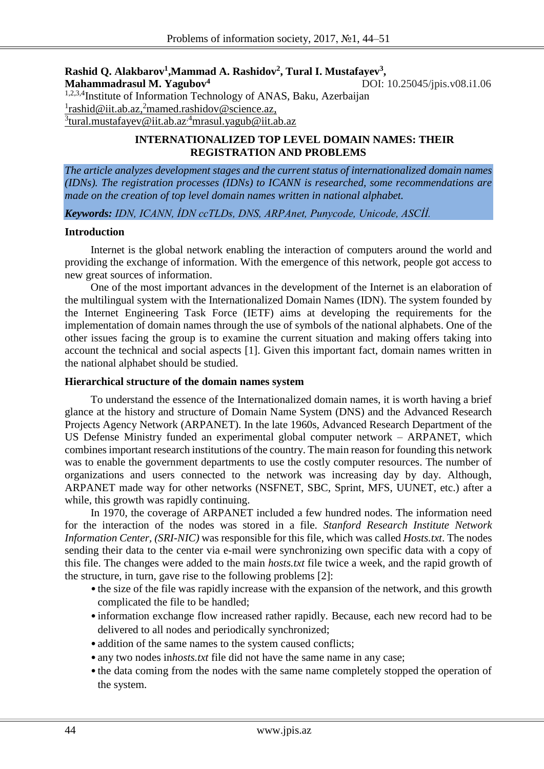#### $\bold{Rashid Q. Alakbarov^1, Mammad A. Rashidov^2, Tural I. Mustafayev^3, }$ **Mahammadrasul M. Yagubov<sup>4</sup>** DOI: 10.25045/jpis.v08.i1.06

1,2,3,4Institute of Information Technology of ANAS, Baku, Azerbaijan <sup>1</sup>[rashid@iit.ab.az,](mailto:rashid@iit.ab.az)<sup>2</sup>[mamed.rashidov@science.az,](mailto:mamed.rashidov@science.az) <sup>3</sup>[tural.mustafayev@iit.ab.az](mailto:3tural.mustafayev@iit.ab.az)<sup>,4</sup>[mrasul.yagub@iit.ab.az](mailto:mrasul.yagub@iit.ab.az)

# **INTERNATIONALIZED TOP LEVEL DOMAIN NAMES: THEIR REGISTRATION AND PROBLEMS**

*The article analyzes development stages and the current status of internationalized domain names (IDNs). The registration processes (IDNs) to ICANN is researched, some recommendations are made on the creation of top level domain names written in national alphabet.* 

*Keywords: IDN, ICANN, İDN ccTLDs, DNS, ARPAnet, Punycode, Unicode, ASCİİ.*

#### **Introduction**

Internet is the global network enabling the interaction of computers around the world and providing the exchange of information. With the emergence of this network, people got access to new great sources of information.

One of the most important advances in the development of the Internet is an elaboration of the multilingual system with the Internationalized Domain Names (IDN). The system founded by the Internet Engineering Task Force (IETF) aims at developing the requirements for the implementation of domain names through the use of symbols of the national alphabets. One of the other issues facing the group is to examine the current situation and making offers taking into account the technical and social aspects [1]. Given this important fact, domain names written in the national alphabet should be studied.

#### **Hierarchical structure of the domain names system**

To understand the essence of the Internationalized domain names, it is worth having a brief glance at the history and structure of Domain Name System (DNS) and the Advanced Research Projects Agency Network (ARPANET). In the late 1960s, Advanced Research Department of the US Defense Ministry funded an experimental global computer network – ARPANET, which combinesimportant research institutions of the country. The main reason for founding this network was to enable the government departments to use the costly computer resources. The number of organizations and users connected to the network was increasing day by day. Although, ARPANET made way for other networks (NSFNET, SBC, Sprint, MFS, UUNET, etc.) after a while, this growth was rapidly continuing.

In 1970, the coverage of ARPANET included a few hundred nodes. The information need for the interaction of the nodes was stored in a file. *Stanford Research Institute Network Information Center, (SRI-NIC)* was responsible for this file, which was called *Hosts.txt*. The nodes sending their data to the center via e-mail were synchronizing own specific data with a copy of this file. The changes were added to the main *hosts.txt* file twice a week, and the rapid growth of the structure, in turn, gave rise to the following problems [2]:

- the size of the file was rapidly increase with the expansion of the network, and this growth complicated the file to be handled;
- information exchange flow increased rather rapidly. Because, each new record had to be delivered to all nodes and periodically synchronized;
- addition of the same names to the system caused conflicts;
- any two nodes in*hosts.txt* file did not have the same name in any case;
- the data coming from the nodes with the same name completely stopped the operation of the system.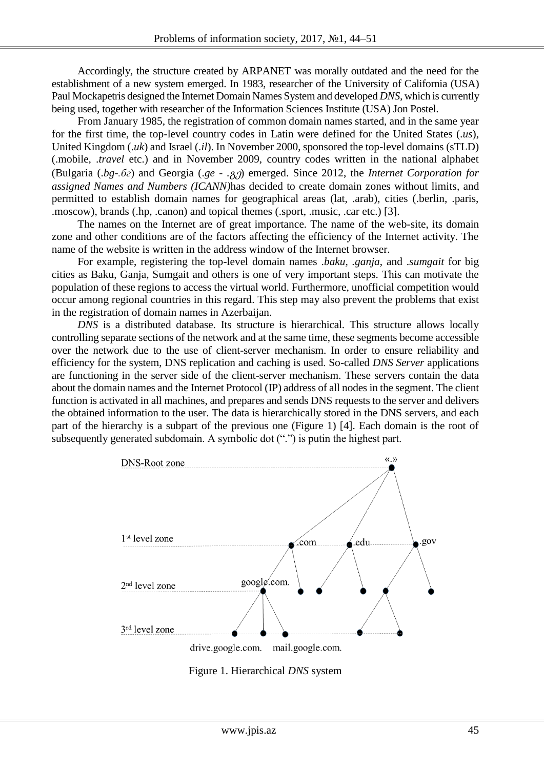Accordingly, the structure created by ARPANET was morally outdated and the need for the establishment of a new system emerged. In 1983, researcher of the University of California (USA) Paul Mockapetris designed the Internet Domain Names System and developed *DNS,* which is currently being used, together with researcher of the Information Sciences Institute (USA) Jon Postel.

From January 1985, the registration of common domain names started, and in the same year for the first time, the top-level country codes in Latin were defined for the United States (.*us*), United Kingdom (.*uk*) and Israel (.*il*). In November 2000, sponsored the top-level domains (sTLD) (.mobile, .*travel* etc.) and in November 2009, country codes written in the national alphabet (Bulgaria (.*bg-.бг*) and Georgia (.*ge - .*გე) emerged. Since 2012, the *Internet Corporation for assigned Names and Numbers (ICANN)*has decided to create domain zones without limits, and permitted to establish domain names for geographical areas (lat, .arab), cities (.berlin, .paris, .moscow), brands (.hp, .canon) and topical themes (.sport, .music, .car etc.) [3].

The names on the Internet are of great importance. The name of the web-site, its domain zone and other conditions are of the factors affecting the efficiency of the Internet activity. The name of the website is written in the address window of the Internet browser.

For example, registering the top-level domain names .*baku, .ganja*, and .*sumgait* for big cities as Baku, Ganja, Sumgait and others is one of very important steps. This can motivate the population of these regions to access the virtual world. Furthermore, unofficial competition would occur among regional countries in this regard. This step may also prevent the problems that exist in the registration of domain names in Azerbaijan.

*DNS* is a distributed database. Its structure is hierarchical. This structure allows locally controlling separate sections of the network and at the same time, these segments become accessible over the network due to the use of client-server mechanism. In order to ensure reliability and efficiency for the system, DNS replication and caching is used. So-called *DNS Server* applications are functioning in the server side of the client-server mechanism. These servers contain the data about the domain names and the Internet Protocol (IP) address of all nodes in the segment. The client function is activated in all machines, and prepares and sends DNS requests to the server and delivers the obtained information to the user. The data is hierarchically stored in the DNS servers, and each part of the hierarchy is a subpart of the previous one (Figure 1) [4]. Each domain is the root of subsequently generated subdomain. A symbolic dot (".") is putin the highest part.



Figure 1. Hierarchical *DNS* system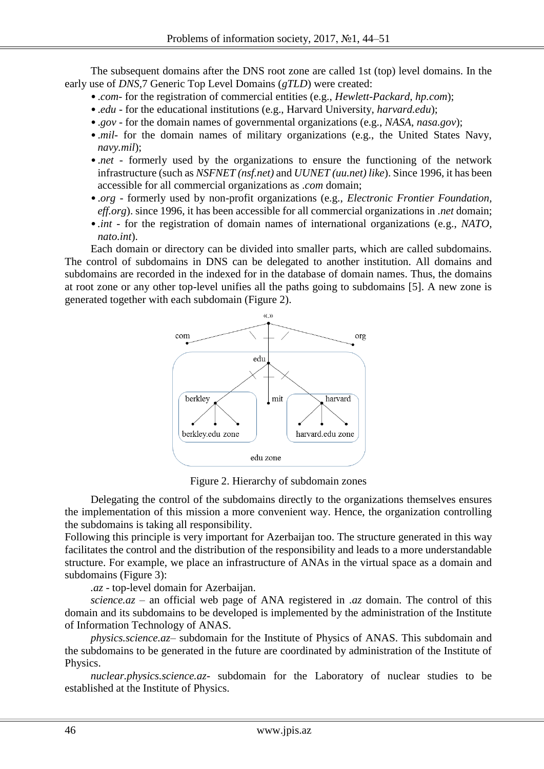The subsequent domains after the DNS root zone are called 1st (top) level domains. In the early use of *DNS,*7 Generic Top Level Domains (*gTLD*) were created:

- .*com* for the registration of commercial entities (e.g., *Hewlett-Packard, hp.com*);
- .*edu* for the educational institutions (e.g., Harvard University, *harvard.edu*);
- .*gov* for the domain names of governmental organizations (e.g., *NASA*, *nasa.gov*);
- *mil* for the domain names of military organizations (e.g., the United States Navy, *navy.mil*);
- *net* formerly used by the organizations to ensure the functioning of the network infrastructure (such as *NSFNET (nsf.net)* and *UUNET (uu.net) like*). Since 1996, it has been accessible for all commercial organizations as .*com* domain;
- .*org* formerly used by non-profit organizations (e.g., *Electronic Frontier Foundation, eff.org*). since 1996, it has been accessible for all commercial organizations in .*net* domain;
- *.int* for the registration of domain names of international organizations (e.g., *NATO, nato.int*).

Each domain or directory can be divided into smaller parts, which are called subdomains. The control of subdomains in DNS can be delegated to another institution. All domains and subdomains are recorded in the indexed for in the database of domain names. Thus, the domains at root zone or any other top-level unifies all the paths going to subdomains [5]. A new zone is generated together with each subdomain (Figure 2).



Figure 2. Hierarchy of subdomain zones

Delegating the control of the subdomains directly to the organizations themselves ensures the implementation of this mission a more convenient way. Hence, the organization controlling the subdomains is taking all responsibility.

Following this principle is very important for Azerbaijan too. The structure generated in this way facilitates the control and the distribution of the responsibility and leads to a more understandable structure. For example, we place an infrastructure of ANAs in the virtual space as a domain and subdomains (Figure 3):

*.az* - top-level domain for Azerbaijan.

*science.az* – an official web page of ANA registered in .*az* domain. The control of this domain and its subdomains to be developed is implemented by the administration of the Institute of Information Technology of ANAS.

*physics.science.az–* subdomain for the Institute of Physics of ANAS. This subdomain and the subdomains to be generated in the future are coordinated by administration of the Institute of Physics.

*nuclear.physics.science.az*- subdomain for the Laboratory of nuclear studies to be established at the Institute of Physics.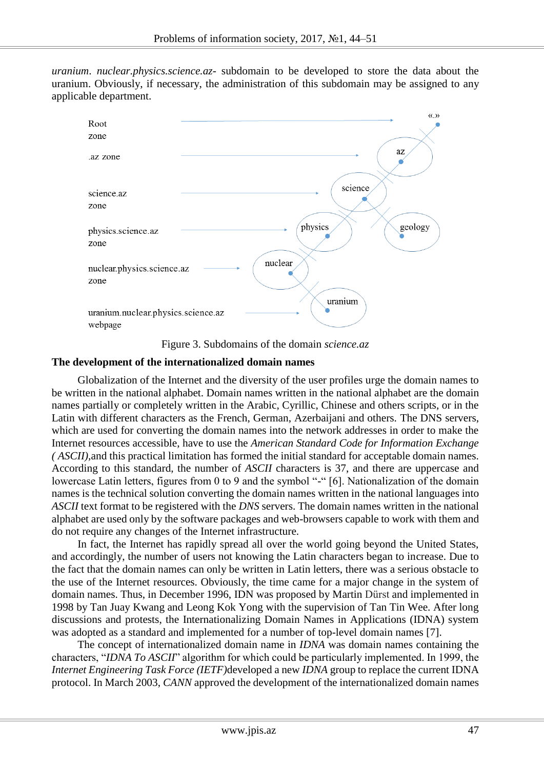*uranium*. *nuclear.physics.science.az*- subdomain to be developed to store the data about the uranium. Obviously, if necessary, the administration of this subdomain may be assigned to any applicable department.



Figure 3. Subdomains of the domain *science.az*

## **The development of the internationalized domain names**

Globalization of the Internet and the diversity of the user profiles urge the domain names to be written in the national alphabet. Domain names written in the national alphabet are the domain names partially or completely written in the Arabic, Cyrillic, Chinese and others scripts, or in the Latin with different characters as the French, German, Azerbaijani and others. The DNS servers, which are used for converting the domain names into the network addresses in order to make the Internet resources accessible, have to use the *American Standard Code for Information Exchange ( ASCII),*and this practical limitation has formed the initial standard for acceptable domain names. According to this standard, the number of *ASCII* characters is 37, and there are uppercase and lowercase Latin letters, figures from 0 to 9 and the symbol "-" [6]. Nationalization of the domain names is the technical solution converting the domain names written in the national languages into *ASCII* text format to be registered with the *DNS* servers. The domain names written in the national alphabet are used only by the software packages and web-browsers capable to work with them and do not require any changes of the Internet infrastructure.

In fact, the Internet has rapidly spread all over the world going beyond the United States, and accordingly, the number of users not knowing the Latin characters began to increase. Due to the fact that the domain names can only be written in Latin letters, there was a serious obstacle to the use of the Internet resources. Obviously, the time came for a major change in the system of domain names. Thus, in December 1996, IDN was proposed by Martin Dürst and implemented in 1998 by Tan Juay Kwang and Leong Kok Yong with the supervision of Tan Tin Wee. After long discussions and protests, the Internationalizing Domain Names in Applications (IDNA) system was adopted as a standard and implemented for a number of top-level domain names [7].

The concept of internationalized domain name in *IDNA* was domain names containing the characters, "*IDNA To ASCII*" algorithm for which could be particularly implemented. In 1999, the *Internet Engineering Task Force (IETF)*developed a new *IDNA* group to replace the current IDNA protocol. In March 2003, *CANN* approved the development of the internationalized domain names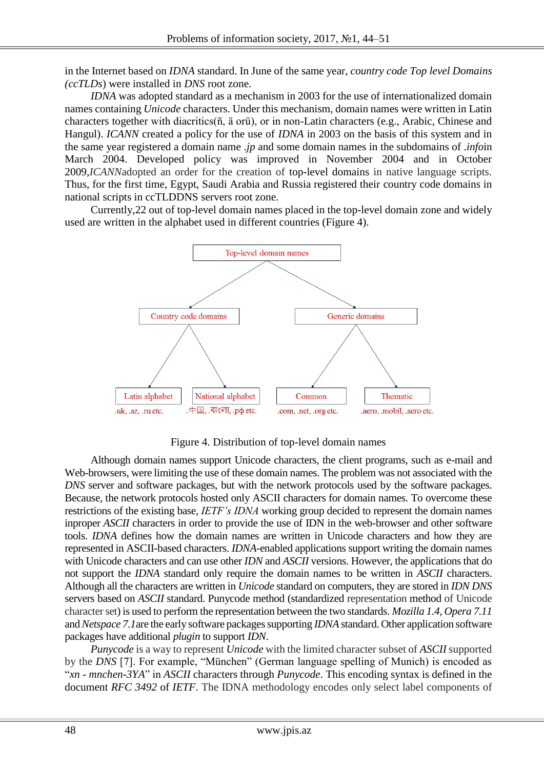in the Internet based on *IDNA* standard. In June of the same year, *country code Top level Domains (ccTLDs*) were installed in *DNS* root zone.

*IDNA* was adopted standard as a mechanism in 2003 for the use of internationalized domain names containing *Unicode* characters. Under this mechanism, domain names were written in Latin characters together with diacritics(ñ, ä orü), or in non-Latin characters (e.g., Arabic, Chinese and Hangul). *ICANN* created a policy for the use of *IDNA* in 2003 on the basis of this system and in the same year registered a domain name .*jp* and some domain names in the subdomains of .*info*in March 2004. Developed policy was improved in November 2004 and in October 2009,*ICANN*adopted an order for the creation of top-level domains in native language scripts. Thus, for the first time, Egypt, Saudi Arabia and Russia registered their country code domains in national scripts in ccTLDDNS servers root zone.

Currently,22 out of top-level domain names placed in the top-level domain zone and widely used are written in the alphabet used in different countries (Figure 4).



Figure 4. Distribution of top-level domain names

Although domain names support Unicode characters, the client programs, such as e-mail and Web-browsers, were limiting the use of these domain names. The problem was not associated with the *DNS* server and software packages, but with the network protocols used by the software packages. Because, the network protocols hosted only ASCII characters for domain names. To overcome these restrictions of the existing base, *IETF's IDNA* working group decided to represent the domain names inproper *ASCII* characters in order to provide the use of IDN in the web-browser and other software tools. *IDNA* defines how the domain names are written in Unicode characters and how they are represented in ASCII-based characters. *IDNA*-enabled applications support writing the domain names with Unicode characters and can use other *IDN* and *ASCII* versions. However, the applications that do not support the *IDNA* standard only require the domain names to be written in *ASCII* characters. Although all the characters are written in *Unicode* standard on computers, they are stored in *IDN DNS* servers based on *ASCII* standard. Punycode method (standardized representation method of Unicode character set) is used to perform the representation between the two standards. *Mozilla 1.4, Opera 7.11*  and*Netspace 7.1*are the early software packages supporting *IDNA* standard. Other application software packages have additional *plugin* to support *IDN*.

*Punycode* is a way to represent *Unicode* with the limited character subset of *ASCII* supported by the *DNS* [7]. For example, "München" (German language spelling of Munich) is encoded as "*xn - mnchen-3YA*" in *ASCII* characters through *Punycode*. This encoding syntax is defined in the document *RFC 3492* of *IETF*. The IDNA methodology encodes only select label components of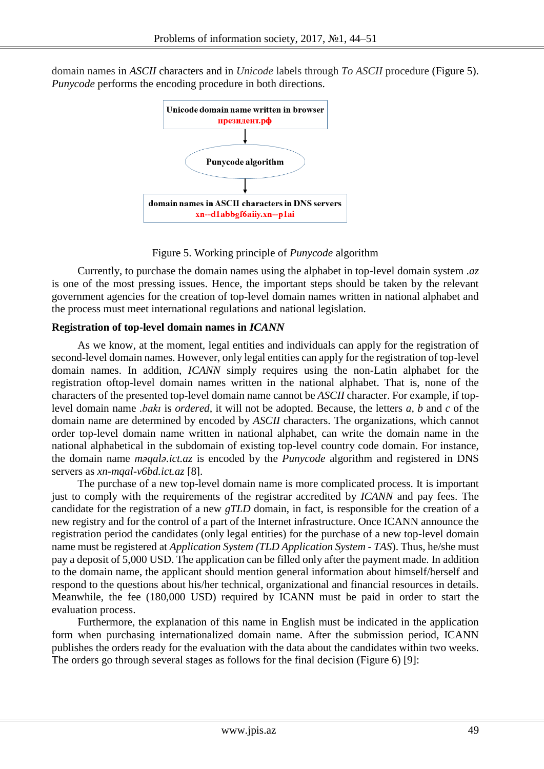domain names in *ASCII* characters and in *Unicode* labels through *To ASCII* procedure (Figure 5). *Punycode* performs the encoding procedure in both directions.



Figure 5. Working principle of *Punycode* algorithm

Currently, to purchase the domain names using the alphabet in top-level domain system .*az* is one of the most pressing issues. Hence, the important steps should be taken by the relevant government agencies for the creation of top-level domain names written in national alphabet and the process must meet international regulations and national legislation.

## **Registration of top-level domain names in** *ICANN*

As we know, at the moment, legal entities and individuals can apply for the registration of second-level domain names. However, only legal entities can apply for the registration of top-level domain names. In addition, *ICANN* simply requires using the non-Latin alphabet for the registration oftop-level domain names written in the national alphabet. That is, none of the characters of the presented top-level domain name cannot be *ASCII* character. For example, if toplevel domain name .*bakı* is *ordered,* it will not be adopted. Because, the letters *a, b* and *c* of the domain name are determined by encoded by *ASCII* characters. The organizations, which cannot order top-level domain name written in national alphabet, can write the domain name in the national alphabetical in the subdomain of existing top-level country code domain. For instance, the domain name *məqalə.ict.az* is encoded by the *Punycode* algorithm and registered in DNS servers as *xn-mqal-v6bd.ict.az* [8].

The purchase of a new top-level domain name is more complicated process. It is important just to comply with the requirements of the registrar accredited by *ICANN* and pay fees. The candidate for the registration of a new *gTLD* domain, in fact, is responsible for the creation of a new registry and for the control of a part of the Internet infrastructure. Once ICANN announce the registration period the candidates (only legal entities) for the purchase of a new top-level domain name must be registered at *Application System (TLD Application System - TAS*). Thus, he/she must pay a deposit of 5,000 USD. The application can be filled only after the payment made. In addition to the domain name, the applicant should mention general information about himself/herself and respond to the questions about his/her technical, organizational and financial resources in details. Meanwhile, the fee (180,000 USD) required by ICANN must be paid in order to start the evaluation process.

Furthermore, the explanation of this name in English must be indicated in the application form when purchasing internationalized domain name. After the submission period, ICANN publishes the orders ready for the evaluation with the data about the candidates within two weeks. The orders go through several stages as follows for the final decision (Figure 6) [9]: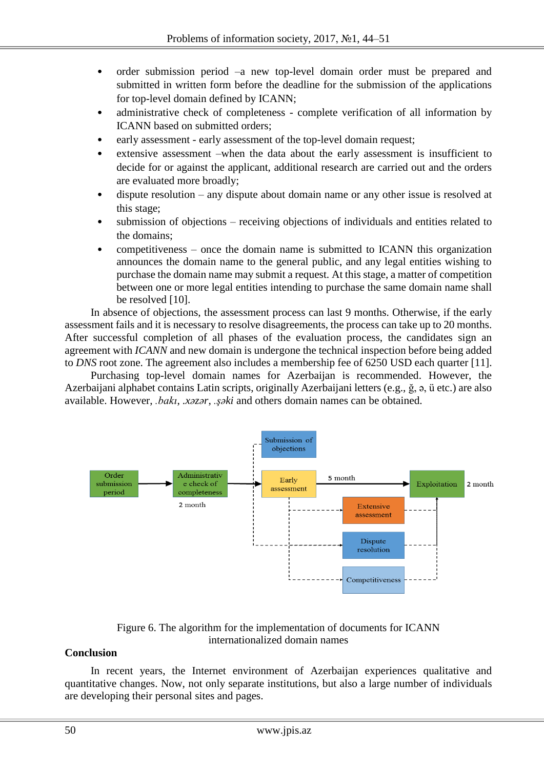- order submission period –a new top-level domain order must be prepared and submitted in written form before the deadline for the submission of the applications for top-level domain defined by ICANN;
- administrative check of completeness complete verification of all information by ICANN based on submitted orders;
- early assessment early assessment of the top-level domain request;
- extensive assessment –when the data about the early assessment is insufficient to decide for or against the applicant, additional research are carried out and the orders are evaluated more broadly;
- dispute resolution any dispute about domain name or any other issue is resolved at this stage;
- submission of objections receiving objections of individuals and entities related to the domains;
- competitiveness once the domain name is submitted to ICANN this organization announces the domain name to the general public, and any legal entities wishing to purchase the domain name may submit a request. At this stage, a matter of competition between one or more legal entities intending to purchase the same domain name shall be resolved [10].

In absence of objections, the assessment process can last 9 months. Otherwise, if the early assessment fails and it is necessary to resolve disagreements, the process can take up to 20 months. After successful completion of all phases of the evaluation process, the candidates sign an agreement with *ICANN* and new domain is undergone the technical inspection before being added to *DNS* root zone. The agreement also includes a membership fee of 6250 USD each quarter [11].

Purchasing top-level domain names for Azerbaijan is recommended. However, the Azerbaijani alphabet contains Latin scripts, originally Azerbaijani letters (e.g., ğ, ə, ü etc.) are also available. However, *.bakı*, *.xəzər*, *.şəki* and others domain names can be obtained.



# Figure 6. The algorithm for the implementation of documents for ICANN internationalized domain names

## **Conclusion**

In recent years, the Internet environment of Azerbaijan experiences qualitative and quantitative changes. Now, not only separate institutions, but also a large number of individuals are developing their personal sites and pages.